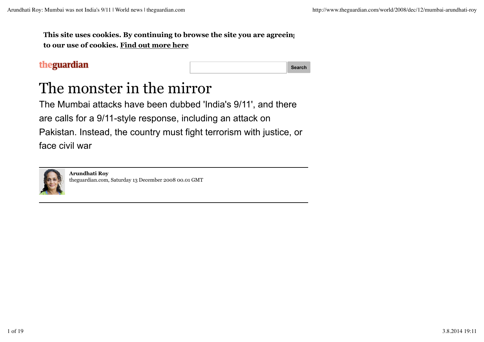**This site uses cookies. By continuing to browse the site you are agreeing to our use of cookies. Find out more here**

# theguardian

**Search**

# The monster in the mirror

The Mumbai attacks have been dubbed 'India's 9/11', and there are calls for a 9/11-style response, including an attack on Pakistan. Instead, the country must fight terrorism with justice, or face civil war



**Arundhati Roy** theguardian.com, Saturday 13 December 2008 00.01 GMT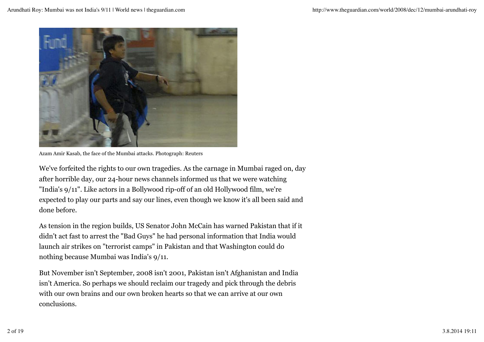

Azam Amir Kasab, the face of the Mumbai attacks. Photograph: Reuters

We've forfeited the rights to our own tragedies. As the carnage in Mumbai raged on, day after horrible day, our 24-hour news channels informed us that we were watching "India's 9/11". Like actors in a Bollywood rip-off of an old Hollywood film, we're expected to play our parts and say our lines, even though we know it's all been said and done before.

As tension in the region builds, US Senator John McCain has warned Pakistan that if it didn't act fast to arrest the "Bad Guys" he had personal information that India would launch air strikes on "terrorist camps" in Pakistan and that Washington could do nothing because Mumbai was India's 9/11.

But November isn't September, 2008 isn't 2001, Pakistan isn't Afghanistan and India isn't America. So perhaps we should reclaim our tragedy and pick through the debris with our own brains and our own broken hearts so that we can arrive at our own conclusions.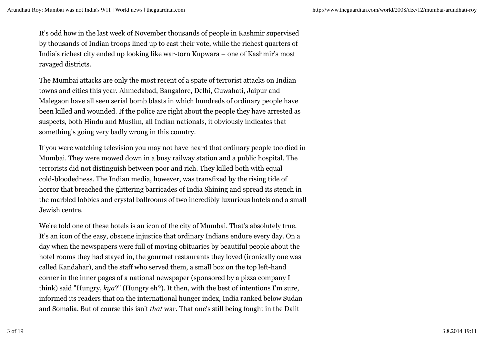It's odd how in the last week of November thousands of people in Kashmir supervised by thousands of Indian troops lined up to cast their vote, while the richest quarters of India's richest city ended up looking like war-torn Kupwara – one of Kashmir's most ravaged districts.

The Mumbai attacks are only the most recent of a spate of terrorist attacks on Indian towns and cities this year. Ahmedabad, Bangalore, Delhi, Guwahati, Jaipur and Malegaon have all seen serial bomb blasts in which hundreds of ordinary people have been killed and wounded. If the police are right about the people they have arrested as suspects, both Hindu and Muslim, all Indian nationals, it obviously indicates that something's going very badly wrong in this country.

If you were watching television you may not have heard that ordinary people too died in Mumbai. They were mowed down in a busy railway station and a public hospital. The terrorists did not distinguish between poor and rich. They killed both with equal cold-bloodedness. The Indian media, however, was transfixed by the rising tide of horror that breached the glittering barricades of India Shining and spread its stench in the marbled lobbies and crystal ballrooms of two incredibly luxurious hotels and a small Jewish centre.

We're told one of these hotels is an icon of the city of Mumbai. That's absolutely true. It's an icon of the easy, obscene injustice that ordinary Indians endure every day. On a day when the newspapers were full of moving obituaries by beautiful people about the hotel rooms they had stayed in, the gourmet restaurants they loved (ironically one was called Kandahar), and the staff who served them, a small box on the top left-hand corner in the inner pages of a national newspaper (sponsored by a pizza company I think) said "Hungry, *kya*?" (Hungry eh?). It then, with the best of intentions I'm sure, informed its readers that on the international hunger index, India ranked below Sudan and Somalia. But of course this isn't *that* war. That one's still being fought in the Dalit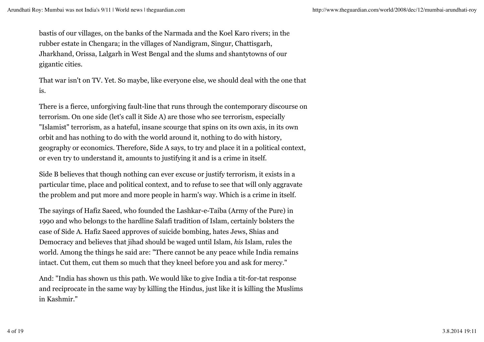bastis of our villages, on the banks of the Narmada and the Koel Karo rivers; in the rubber estate in Chengara; in the villages of Nandigram, Singur, Chattisgarh, Jharkhand, Orissa, Lalgarh in West Bengal and the slums and shantytowns of our gigantic cities.

That war isn't on TV. Yet. So maybe, like everyone else, we should deal with the one that is.

There is a fierce, unforgiving fault-line that runs through the contemporary discourse on terrorism. On one side (let's call it Side A) are those who see terrorism, especially "Islamist" terrorism, as a hateful, insane scourge that spins on its own axis, in its own orbit and has nothing to do with the world around it, nothing to do with history, geography or economics. Therefore, Side A says, to try and place it in a political context, or even try to understand it, amounts to justifying it and is a crime in itself.

Side B believes that though nothing can ever excuse or justify terrorism, it exists in a particular time, place and political context, and to refuse to see that will only aggravate the problem and put more and more people in harm's way. Which is a crime in itself.

The sayings of Hafiz Saeed, who founded the Lashkar-e-Taiba (Army of the Pure) in 1990 and who belongs to the hardline Salafi tradition of Islam, certainly bolsters the case of Side A. Hafiz Saeed approves of suicide bombing, hates Jews, Shias and Democracy and believes that jihad should be waged until Islam, *his* Islam, rules the world. Among the things he said are: "There cannot be any peace while India remains intact. Cut them, cut them so much that they kneel before you and ask for mercy."

And: "India has shown us this path. We would like to give India a tit-for-tat response and reciprocate in the same way by killing the Hindus, just like it is killing the Muslims in Kashmir."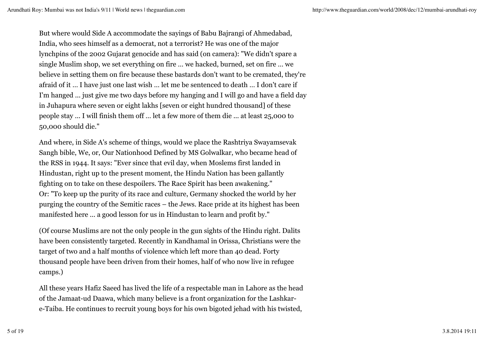But where would Side A accommodate the sayings of Babu Bajrangi of Ahmedabad, India, who sees himself as a democrat, not a terrorist? He was one of the major lynchpins of the 2002 Gujarat genocide and has said (on camera): "We didn't spare a single Muslim shop, we set everything on fire … we hacked, burned, set on fire … we believe in setting them on fire because these bastards don't want to be cremated, they're afraid of it … I have just one last wish … let me be sentenced to death … I don't care if I'm hanged ... just give me two days before my hanging and I will go and have a field day in Juhapura where seven or eight lakhs [seven or eight hundred thousand] of these people stay ... I will finish them off … let a few more of them die ... at least 25,000 to 50,000 should die."

And where, in Side A's scheme of things, would we place the Rashtriya Swayamsevak Sangh bible, We, or, Our Nationhood Defined by MS Golwalkar, who became head of the RSS in 1944. It says: "Ever since that evil day, when Moslems first landed in Hindustan, right up to the present moment, the Hindu Nation has been gallantly fighting on to take on these despoilers. The Race Spirit has been awakening." Or: "To keep up the purity of its race and culture, Germany shocked the world by her purging the country of the Semitic races – the Jews. Race pride at its highest has been manifested here ... a good lesson for us in Hindustan to learn and profit by."

(Of course Muslims are not the only people in the gun sights of the Hindu right. Dalits have been consistently targeted. Recently in Kandhamal in Orissa, Christians were the target of two and a half months of violence which left more than 40 dead. Forty thousand people have been driven from their homes, half of who now live in refugee camps.)

All these years Hafiz Saeed has lived the life of a respectable man in Lahore as the head of the Jamaat-ud Daawa, which many believe is a front organization for the Lashkare-Taiba. He continues to recruit young boys for his own bigoted jehad with his twisted,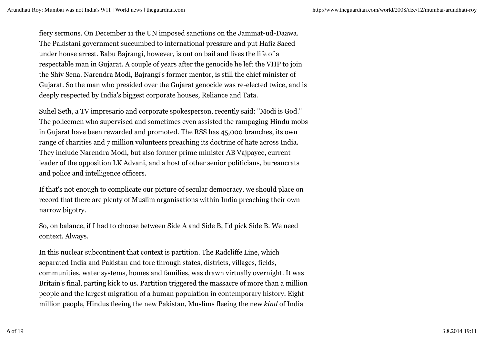fiery sermons. On December 11 the UN imposed sanctions on the Jammat-ud-Daawa. The Pakistani government succumbed to international pressure and put Hafiz Saeed under house arrest. Babu Bajrangi, however, is out on bail and lives the life of a respectable man in Gujarat. A couple of years after the genocide he left the VHP to join the Shiv Sena. Narendra Modi, Bajrangi's former mentor, is still the chief minister of Gujarat. So the man who presided over the Gujarat genocide was re-elected twice, and is deeply respected by India's biggest corporate houses, Reliance and Tata.

Suhel Seth, a TV impresario and corporate spokesperson, recently said: "Modi is God." The policemen who supervised and sometimes even assisted the rampaging Hindu mobs in Gujarat have been rewarded and promoted. The RSS has 45,000 branches, its own range of charities and 7 million volunteers preaching its doctrine of hate across India. They include Narendra Modi, but also former prime minister AB Vajpayee, current leader of the opposition LK Advani, and a host of other senior politicians, bureaucrats and police and intelligence officers.

If that's not enough to complicate our picture of secular democracy, we should place on record that there are plenty of Muslim organisations within India preaching their own narrow bigotry.

So, on balance, if I had to choose between Side A and Side B, I'd pick Side B. We need context. Always.

In this nuclear subcontinent that context is partition. The Radcliffe Line, which separated India and Pakistan and tore through states, districts, villages, fields, communities, water systems, homes and families, was drawn virtually overnight. It was Britain's final, parting kick to us. Partition triggered the massacre of more than a million people and the largest migration of a human population in contemporary history. Eight million people, Hindus fleeing the new Pakistan, Muslims fleeing the new *kind* of India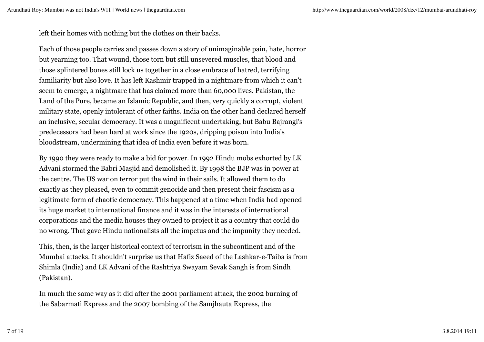left their homes with nothing but the clothes on their backs.

Each of those people carries and passes down a story of unimaginable pain, hate, horror but yearning too. That wound, those torn but still unsevered muscles, that blood and those splintered bones still lock us together in a close embrace of hatred, terrifying familiarity but also love. It has left Kashmir trapped in a nightmare from which it can't seem to emerge, a nightmare that has claimed more than 60,000 lives. Pakistan, the Land of the Pure, became an Islamic Republic, and then, very quickly a corrupt, violent military state, openly intolerant of other faiths. India on the other hand declared herself an inclusive, secular democracy. It was a magnificent undertaking, but Babu Bajrangi's predecessors had been hard at work since the 1920s, dripping poison into India's bloodstream, undermining that idea of India even before it was born.

By 1990 they were ready to make a bid for power. In 1992 Hindu mobs exhorted by LK Advani stormed the Babri Masjid and demolished it. By 1998 the BJP was in power at the centre. The US war on terror put the wind in their sails. It allowed them to do exactly as they pleased, even to commit genocide and then present their fascism as a legitimate form of chaotic democracy. This happened at a time when India had opened its huge market to international finance and it was in the interests of international corporations and the media houses they owned to project it as a country that could do no wrong. That gave Hindu nationalists all the impetus and the impunity they needed.

This, then, is the larger historical context of terrorism in the subcontinent and of the Mumbai attacks. It shouldn't surprise us that Hafiz Saeed of the Lashkar-e-Taiba is from Shimla (India) and LK Advani of the Rashtriya Swayam Sevak Sangh is from Sindh (Pakistan).

In much the same way as it did after the 2001 parliament attack, the 2002 burning of the Sabarmati Express and the 2007 bombing of the Samjhauta Express, the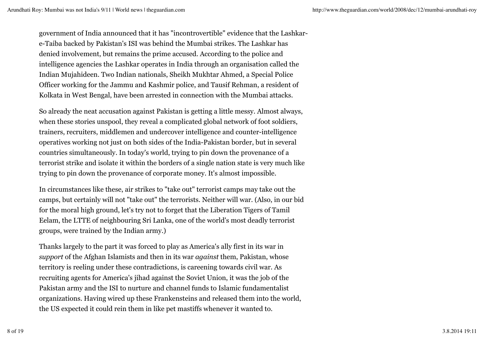government of India announced that it has "incontrovertible" evidence that the Lashkare-Taiba backed by Pakistan's ISI was behind the Mumbai strikes. The Lashkar has denied involvement, but remains the prime accused. According to the police and intelligence agencies the Lashkar operates in India through an organisation called the Indian Mujahideen. Two Indian nationals, Sheikh Mukhtar Ahmed, a Special Police Officer working for the Jammu and Kashmir police, and Tausif Rehman, a resident of Kolkata in West Bengal, have been arrested in connection with the Mumbai attacks.

So already the neat accusation against Pakistan is getting a little messy. Almost always, when these stories unspool, they reveal a complicated global network of foot soldiers, trainers, recruiters, middlemen and undercover intelligence and counter-intelligence operatives working not just on both sides of the India-Pakistan border, but in several countries simultaneously. In today's world, trying to pin down the provenance of a terrorist strike and isolate it within the borders of a single nation state is very much like trying to pin down the provenance of corporate money. It's almost impossible.

In circumstances like these, air strikes to "take out" terrorist camps may take out the camps, but certainly will not "take out" the terrorists. Neither will war. (Also, in our bid for the moral high ground, let's try not to forget that the Liberation Tigers of Tamil Eelam, the LTTE of neighbouring Sri Lanka, one of the world's most deadly terrorist groups, were trained by the Indian army.)

Thanks largely to the part it was forced to play as America's ally first in its war in *support* of the Afghan Islamists and then in its war *against* them, Pakistan, whose territory is reeling under these contradictions, is careening towards civil war. As recruiting agents for America's jihad against the Soviet Union, it was the job of the Pakistan army and the ISI to nurture and channel funds to Islamic fundamentalist organizations. Having wired up these Frankensteins and released them into the world, the US expected it could rein them in like pet mastiffs whenever it wanted to.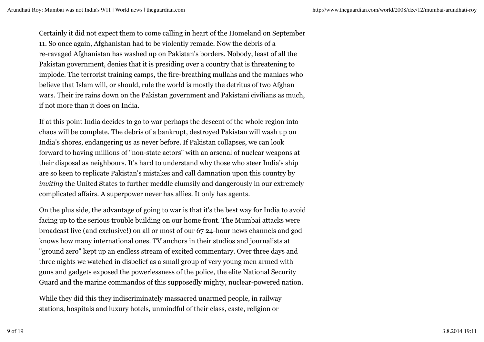Certainly it did not expect them to come calling in heart of the Homeland on September 11. So once again, Afghanistan had to be violently remade. Now the debris of a re-ravaged Afghanistan has washed up on Pakistan's borders. Nobody, least of all the Pakistan government, denies that it is presiding over a country that is threatening to implode. The terrorist training camps, the fire-breathing mullahs and the maniacs who believe that Islam will, or should, rule the world is mostly the detritus of two Afghan wars. Their ire rains down on the Pakistan government and Pakistani civilians as much, if not more than it does on India.

If at this point India decides to go to war perhaps the descent of the whole region into chaos will be complete. The debris of a bankrupt, destroyed Pakistan will wash up on India's shores, endangering us as never before. If Pakistan collapses, we can look forward to having millions of "non-state actors" with an arsenal of nuclear weapons at their disposal as neighbours. It's hard to understand why those who steer India's ship are so keen to replicate Pakistan's mistakes and call damnation upon this country by *inviting* the United States to further meddle clumsily and dangerously in our extremely complicated affairs. A superpower never has allies. It only has agents.

On the plus side, the advantage of going to war is that it's the best way for India to avoid facing up to the serious trouble building on our home front. The Mumbai attacks were broadcast live (and exclusive!) on all or most of our 67 24-hour news channels and god knows how many international ones. TV anchors in their studios and journalists at "ground zero" kept up an endless stream of excited commentary. Over three days and three nights we watched in disbelief as a small group of very young men armed with guns and gadgets exposed the powerlessness of the police, the elite National Security Guard and the marine commandos of this supposedly mighty, nuclear-powered nation.

While they did this they indiscriminately massacred unarmed people, in railway stations, hospitals and luxury hotels, unmindful of their class, caste, religion or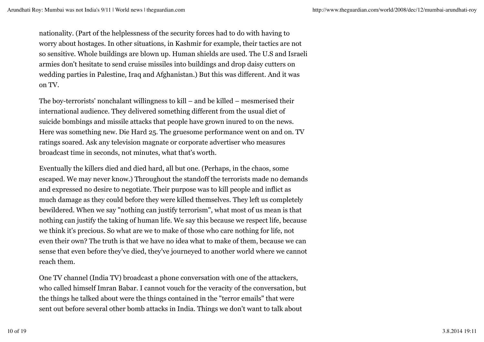nationality. (Part of the helplessness of the security forces had to do with having to worry about hostages. In other situations, in Kashmir for example, their tactics are not so sensitive. Whole buildings are blown up. Human shields are used. The U.S and Israeli armies don't hesitate to send cruise missiles into buildings and drop daisy cutters on wedding parties in Palestine, Iraq and Afghanistan.) But this was different. And it was on TV.

The boy-terrorists' nonchalant willingness to kill – and be killed – mesmerised their international audience. They delivered something different from the usual diet of suicide bombings and missile attacks that people have grown inured to on the news. Here was something new. Die Hard 25. The gruesome performance went on and on. TV ratings soared. Ask any television magnate or corporate advertiser who measures broadcast time in seconds, not minutes, what that's worth.

Eventually the killers died and died hard, all but one. (Perhaps, in the chaos, some escaped. We may never know.) Throughout the standoff the terrorists made no demands and expressed no desire to negotiate. Their purpose was to kill people and inflict as much damage as they could before they were killed themselves. They left us completely bewildered. When we say "nothing can justify terrorism", what most of us mean is that nothing can justify the taking of human life. We say this because we respect life, because we think it's precious. So what are we to make of those who care nothing for life, not even their own? The truth is that we have no idea what to make of them, because we can sense that even before they've died, they've journeyed to another world where we cannot reach them.

One TV channel (India TV) broadcast a phone conversation with one of the attackers, who called himself Imran Babar. I cannot vouch for the veracity of the conversation, but the things he talked about were the things contained in the "terror emails" that were sent out before several other bomb attacks in India. Things we don't want to talk about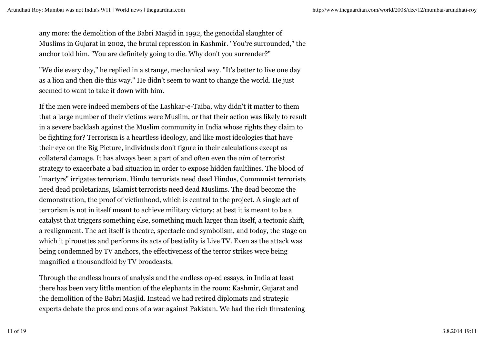any more: the demolition of the Babri Masjid in 1992, the genocidal slaughter of Muslims in Gujarat in 2002, the brutal repression in Kashmir. "You're surrounded," the anchor told him. "You are definitely going to die. Why don't you surrender?"

"We die every day," he replied in a strange, mechanical way. "It's better to live one day as a lion and then die this way." He didn't seem to want to change the world. He just seemed to want to take it down with him.

If the men were indeed members of the Lashkar-e-Taiba, why didn't it matter to them that a large number of their victims were Muslim, or that their action was likely to result in a severe backlash against the Muslim community in India whose rights they claim to be fighting for? Terrorism is a heartless ideology, and like most ideologies that have their eye on the Big Picture, individuals don't figure in their calculations except as collateral damage. It has always been a part of and often even the *aim* of terrorist strategy to exacerbate a bad situation in order to expose hidden faultlines. The blood of "martyrs" irrigates terrorism. Hindu terrorists need dead Hindus, Communist terrorists need dead proletarians, Islamist terrorists need dead Muslims. The dead become the demonstration, the proof of victimhood, which is central to the project. A single act of terrorism is not in itself meant to achieve military victory; at best it is meant to be a catalyst that triggers something else, something much larger than itself, a tectonic shift, a realignment. The act itself is theatre, spectacle and symbolism, and today, the stage on which it pirouettes and performs its acts of bestiality is Live TV. Even as the attack was being condemned by TV anchors, the effectiveness of the terror strikes were being magnified a thousandfold by TV broadcasts.

Through the endless hours of analysis and the endless op-ed essays, in India at least there has been very little mention of the elephants in the room: Kashmir, Gujarat and the demolition of the Babri Masjid. Instead we had retired diplomats and strategic experts debate the pros and cons of a war against Pakistan. We had the rich threatening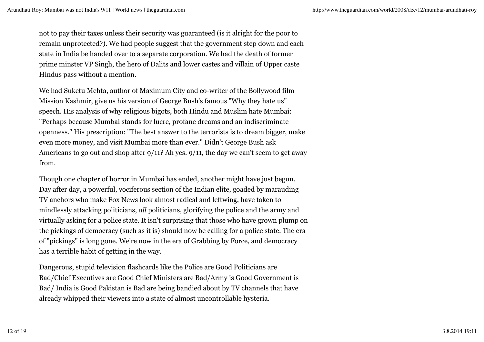not to pay their taxes unless their security was guaranteed (is it alright for the poor to remain unprotected?). We had people suggest that the government step down and each state in India be handed over to a separate corporation. We had the death of former prime minster VP Singh, the hero of Dalits and lower castes and villain of Upper caste Hindus pass without a mention.

We had Suketu Mehta, author of Maximum City and co-writer of the Bollywood film Mission Kashmir, give us his version of George Bush's famous "Why they hate us" speech. His analysis of why religious bigots, both Hindu and Muslim hate Mumbai: "Perhaps because Mumbai stands for lucre, profane dreams and an indiscriminate openness." His prescription: "The best answer to the terrorists is to dream bigger, make even more money, and visit Mumbai more than ever." Didn't George Bush ask Americans to go out and shop after 9/11? Ah yes. 9/11, the day we can't seem to get away from.

Though one chapter of horror in Mumbai has ended, another might have just begun. Day after day, a powerful, vociferous section of the Indian elite, goaded by marauding TV anchors who make Fox News look almost radical and leftwing, have taken to mindlessly attacking politicians, *all* politicians, glorifying the police and the army and virtually asking for a police state. It isn't surprising that those who have grown plump on the pickings of democracy (such as it is) should now be calling for a police state. The era of "pickings" is long gone. We're now in the era of Grabbing by Force, and democracy has a terrible habit of getting in the way.

Dangerous, stupid television flashcards like the Police are Good Politicians are Bad/Chief Executives are Good Chief Ministers are Bad/Army is Good Government is Bad/ India is Good Pakistan is Bad are being bandied about by TV channels that have already whipped their viewers into a state of almost uncontrollable hysteria.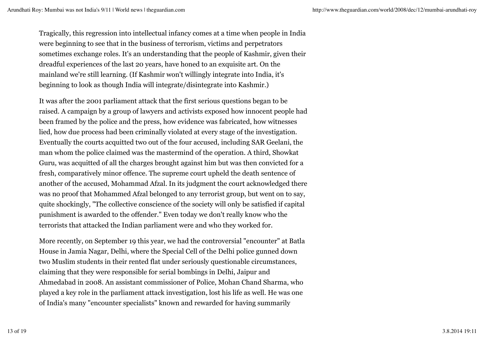Tragically, this regression into intellectual infancy comes at a time when people in India were beginning to see that in the business of terrorism, victims and perpetrators sometimes exchange roles. It's an understanding that the people of Kashmir, given their dreadful experiences of the last 20 years, have honed to an exquisite art. On the mainland we're still learning. (If Kashmir won't willingly integrate into India, it's beginning to look as though India will integrate/disintegrate into Kashmir.)

It was after the 2001 parliament attack that the first serious questions began to be raised. A campaign by a group of lawyers and activists exposed how innocent people had been framed by the police and the press, how evidence was fabricated, how witnesses lied, how due process had been criminally violated at every stage of the investigation. Eventually the courts acquitted two out of the four accused, including SAR Geelani, the man whom the police claimed was the mastermind of the operation. A third, Showkat Guru, was acquitted of all the charges brought against him but was then convicted for a fresh, comparatively minor offence. The supreme court upheld the death sentence of another of the accused, Mohammad Afzal. In its judgment the court acknowledged there was no proof that Mohammed Afzal belonged to any terrorist group, but went on to say, quite shockingly, "The collective conscience of the society will only be satisfied if capital punishment is awarded to the offender." Even today we don't really know who the terrorists that attacked the Indian parliament were and who they worked for.

More recently, on September 19 this year, we had the controversial "encounter" at Batla House in Jamia Nagar, Delhi, where the Special Cell of the Delhi police gunned down two Muslim students in their rented flat under seriously questionable circumstances, claiming that they were responsible for serial bombings in Delhi, Jaipur and Ahmedabad in 2008. An assistant commissioner of Police, Mohan Chand Sharma, who played a key role in the parliament attack investigation, lost his life as well. He was one of India's many "encounter specialists" known and rewarded for having summarily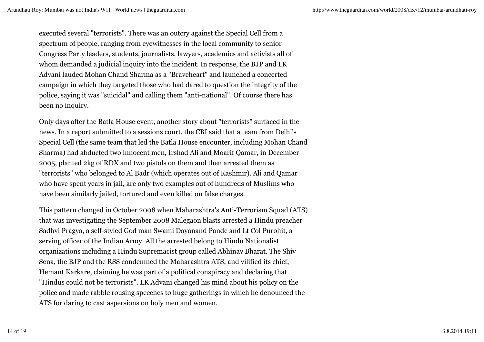executed several "terrorists". There was an outcry against the Special Cell from a spectrum of people, ranging from eyewitnesses in the local community to senior Congress Party leaders, students, journalists, lawyers, academics and activists all of whom demanded a judicial inquiry into the incident. In response, the BJP and LK Advani lauded Mohan Chand Sharma as a "Braveheart" and launched a concerted campaign in which they targeted those who had dared to question the integrity of the police, saying it was "suicidal" and calling them "anti-national". Of course there has been no inquiry.

Only days after the Batla House event, another story about "terrorists" surfaced in the news. In a report submitted to a sessions court, the CBI said that a team from Delhi's Special Cell (the same team that led the Batla House encounter, including Mohan Chand Sharma) had abducted two innocent men, Irshad Ali and Moarif Qamar, in December 2005, planted 2kg of RDX and two pistols on them and then arrested them as "terrorists" who belonged to Al Badr (which operates out of Kashmir). Ali and Qamar who have spent years in jail, are only two examples out of hundreds of Muslims who have been similarly jailed, tortured and even killed on false charges.

This pattern changed in October 2008 when Maharashtra's Anti-Terrorism Squad (ATS) that was investigating the September 2008 Malegaon blasts arrested a Hindu preacher Sadhvi Pragya, a self-styled God man Swami Dayanand Pande and Lt Col Purohit, a serving officer of the Indian Army. All the arrested belong to Hindu Nationalist organizations including a Hindu Supremacist group called Abhinav Bharat. The Shiv Sena, the BJP and the RSS condemned the Maharashtra ATS, and vilified its chief, Hemant Karkare, claiming he was part of a political conspiracy and declaring that "Hindus could not be terrorists". LK Advani changed his mind about his policy on the police and made rabble rousing speeches to huge gatherings in which he denounced the ATS for daring to cast aspersions on holy men and women.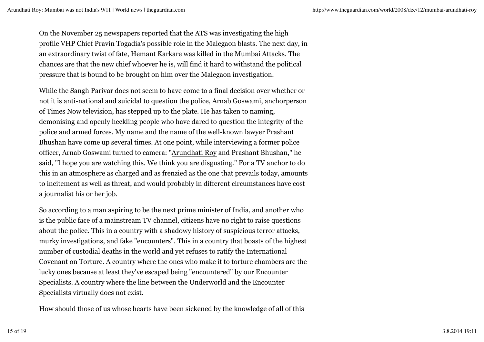On the November 25 newspapers reported that the ATS was investigating the high profile VHP Chief Pravin Togadia's possible role in the Malegaon blasts. The next day, in an extraordinary twist of fate, Hemant Karkare was killed in the Mumbai Attacks. The chances are that the new chief whoever he is, will find it hard to withstand the political pressure that is bound to be brought on him over the Malegaon investigation.

While the Sangh Parivar does not seem to have come to a final decision over whether or not it is anti-national and suicidal to question the police, Arnab Goswami, anchorperson of Times Now television, has stepped up to the plate. He has taken to naming, demonising and openly heckling people who have dared to question the integrity of the police and armed forces. My name and the name of the well-known lawyer Prashant Bhushan have come up several times. At one point, while interviewing a former police officer, Arnab Goswami turned to camera: "Arundhati Roy and Prashant Bhushan," he said, "I hope you are watching this. We think you are disgusting." For a TV anchor to do this in an atmosphere as charged and as frenzied as the one that prevails today, amounts to incitement as well as threat, and would probably in different circumstances have cost a journalist his or her job.

So according to a man aspiring to be the next prime minister of India, and another who is the public face of a mainstream TV channel, citizens have no right to raise questions about the police. This in a country with a shadowy history of suspicious terror attacks, murky investigations, and fake "encounters". This in a country that boasts of the highest number of custodial deaths in the world and yet refuses to ratify the International Covenant on Torture. A country where the ones who make it to torture chambers are the lucky ones because at least they've escaped being "encountered" by our Encounter Specialists. A country where the line between the Underworld and the Encounter Specialists virtually does not exist.

How should those of us whose hearts have been sickened by the knowledge of all of this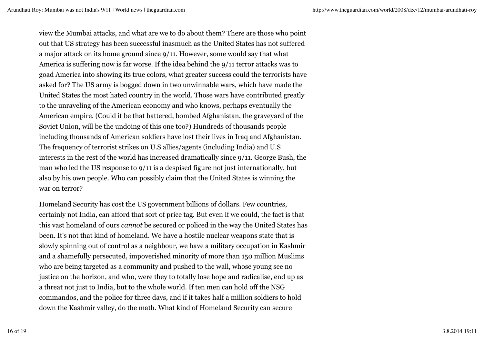view the Mumbai attacks, and what are we to do about them? There are those who point out that US strategy has been successful inasmuch as the United States has not suffered a major attack on its home ground since 9/11. However, some would say that what America is suffering now is far worse. If the idea behind the 9/11 terror attacks was to goad America into showing its true colors, what greater success could the terrorists have asked for? The US army is bogged down in two unwinnable wars, which have made the United States the most hated country in the world. Those wars have contributed greatly to the unraveling of the American economy and who knows, perhaps eventually the American empire. (Could it be that battered, bombed Afghanistan, the graveyard of the Soviet Union, will be the undoing of this one too?) Hundreds of thousands people including thousands of American soldiers have lost their lives in Iraq and Afghanistan. The frequency of terrorist strikes on U.S allies/agents (including India) and U.S interests in the rest of the world has increased dramatically since 9/11. George Bush, the man who led the US response to 9/11 is a despised figure not just internationally, but also by his own people. Who can possibly claim that the United States is winning the war on terror?

Homeland Security has cost the US government billions of dollars. Few countries, certainly not India, can afford that sort of price tag. But even if we could, the fact is that this vast homeland of ours *cannot* be secured or policed in the way the United States has been. It's not that kind of homeland. We have a hostile nuclear weapons state that is slowly spinning out of control as a neighbour, we have a military occupation in Kashmir and a shamefully persecuted, impoverished minority of more than 150 million Muslims who are being targeted as a community and pushed to the wall, whose young see no justice on the horizon, and who, were they to totally lose hope and radicalise, end up as a threat not just to India, but to the whole world. If ten men can hold off the NSG commandos, and the police for three days, and if it takes half a million soldiers to hold down the Kashmir valley, do the math. What kind of Homeland Security can secure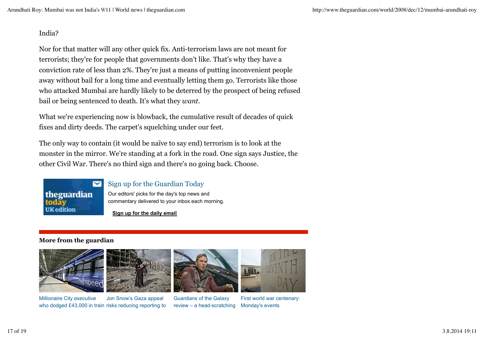## India?

Nor for that matter will any other quick fix. Anti-terrorism laws are not meant for terrorists; they're for people that governments don't like. That's why they have a conviction rate of less than 2%. They're just a means of putting inconvenient people away without bail for a long time and eventually letting them go. Terrorists like those who attacked Mumbai are hardly likely to be deterred by the prospect of being refused bail or being sentenced to death. It's what they *want*.

What we're experiencing now is blowback, the cumulative result of decades of quick fixes and dirty deeds. The carpet's squelching under our feet.

The only way to contain (it would be naïve to say end) terrorism is to look at the monster in the mirror. We're standing at a fork in the road. One sign says Justice, the other Civil War. There's no third sign and there's no going back. Choose.

▽ theguardian **UK** edition

## Sign up for the Guardian Today

Our editors' picks for the day's top news and commentary delivered to your inbox each morning.

**Sign up for the daily email**

### **More from the guardian**







Guardians of the Galaxy review – a head-scratching Monday's events



I filt.